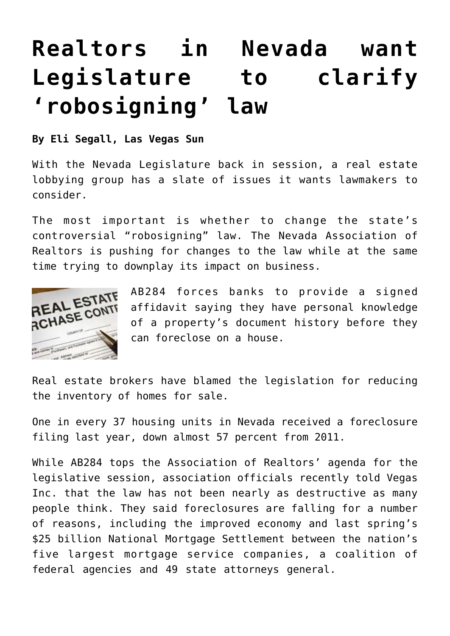## **[Realtors in Nevada want](https://www.laketahoenews.net/2013/02/reators-in-nevada-want-legislature-to-clarify-robosigning-law/) [Legislature to clarify](https://www.laketahoenews.net/2013/02/reators-in-nevada-want-legislature-to-clarify-robosigning-law/) ['robosigning' law](https://www.laketahoenews.net/2013/02/reators-in-nevada-want-legislature-to-clarify-robosigning-law/)**

**By Eli Segall, Las Vegas Sun**

With the Nevada Legislature back in session, a real estate lobbying group has a slate of issues it wants lawmakers to consider.

The most important is whether to change the state's controversial "robosigning" law. The Nevada Association of Realtors is pushing for changes to the law while at the same time trying to downplay its impact on business.



AB284 forces banks to provide a signed affidavit saying they have personal knowledge of a property's document history before they can foreclose on a house.

Real estate brokers have blamed the legislation for reducing the inventory of homes for sale.

One in every 37 housing units in Nevada received a foreclosure filing last year, down almost 57 percent from 2011.

While AB284 tops the Association of Realtors' agenda for the legislative session, association officials recently told Vegas Inc. that the law has not been nearly as destructive as many people think. They said foreclosures are falling for a number of reasons, including the improved economy and last spring's \$25 billion National Mortgage Settlement between the nation's five largest mortgage service companies, a coalition of federal agencies and 49 state attorneys general.